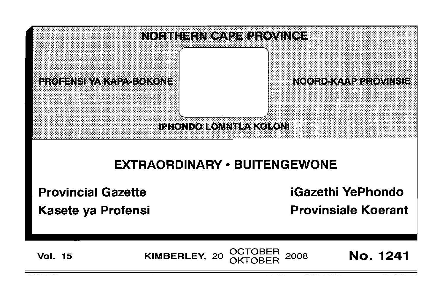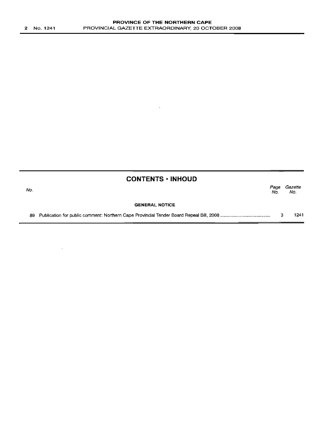$\sim 10^7$ 

 $\sim$ 

|     | <b>CONTENTS · INHOUD</b> |             |                |
|-----|--------------------------|-------------|----------------|
| No. |                          | Page<br>No. | Gazette<br>No. |
|     | <b>GENERAL NOTICE</b>    |             |                |
|     |                          |             | 1241           |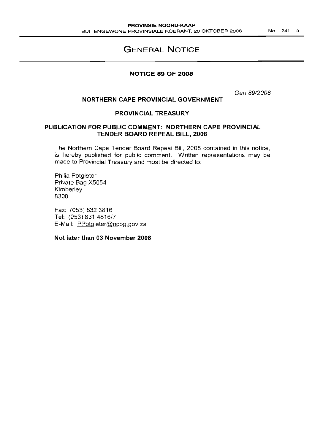# **GENERAL NOTICE**

#### **NOTICE 89 OF 2008**

Gen 89/2008

### **NORTHERN CAPE PROVINCIAL GOVERNMENT**

## **PROVINCIAL TREASURY**

# **PUBLICATION FOR PUBLIC COMMENT: NORTHERN CAPE PROVINCIAL TENDER BOARD REPEAL BILL, 2008**

The Northern Cape Tender Board Repeal Bill, 2008 contained in this notice, is hereby published for public comment. Written representations may be made to Provincial Treasury and must be directed to:

Philia Potgieter Private Bag X5054 Kimberley 8300

Fax: (053) 8323816 Tel: (053) 831 4816/7 E-Mail: PPotgieter@ncpg.gov.za

**Not later than 03 November 2008**

No. 1241 3